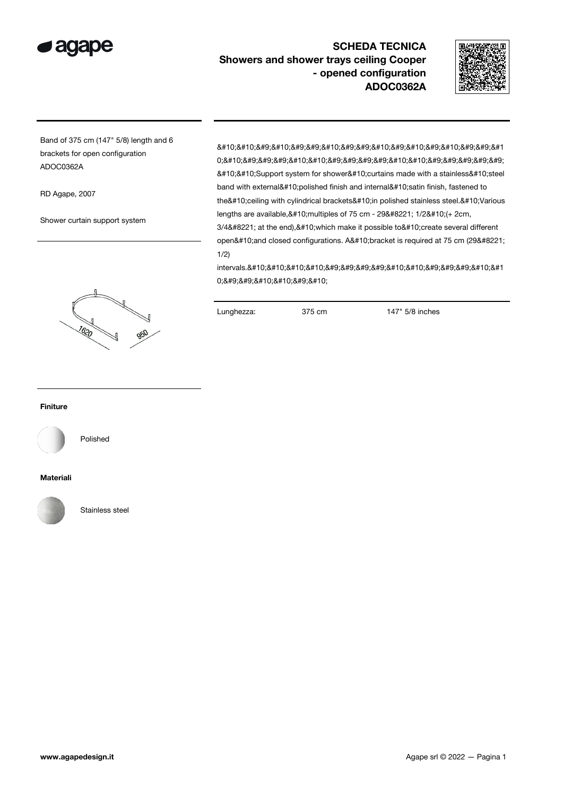

## SCHEDA TECNICA Showers and shower trays ceiling Cooper - opened configuration ADOC0362A



Band of 375 cm (147" 5/8) length and 6 brackets for open configuration ADOC0362A

RD Agape, 2007

Shower curtain support system

8#10;8#10;8#9;8#10;8#9;8#9;8#10;8#9;8#9;8#10;8#9;8#10;8#9;8#10;8#9;8#9;8#1 0;

 Support system for shower
curtains made with a stainless
steel band with external
polished finish and internal
satin finish, fastened to the
ceiling with cylindrical brackets
in polished stainless steel.
Various lengths are available, 
 multiples of 75 cm - 29" 1/2
 (+ 2cm, 3/4" at the end), 
 which make it possible to 
 create several different open
and closed configurations. A
bracket is required at 75 cm (29" 1/2)

intervals.

&#1 0; 

 



Lunghezza: 375 cm 147" 5/8 inches

## Finiture



Polished

## Materiali



Stainless steel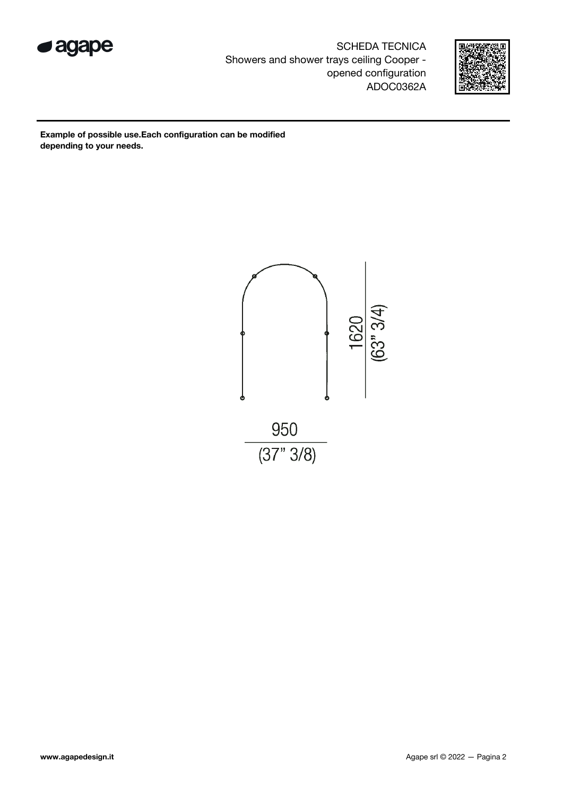

SCHEDA TECNICA Showers and shower trays ceiling Cooper opened configuration ADOC0362A



Example of possible use.Each configuration can be modified depending to your needs.

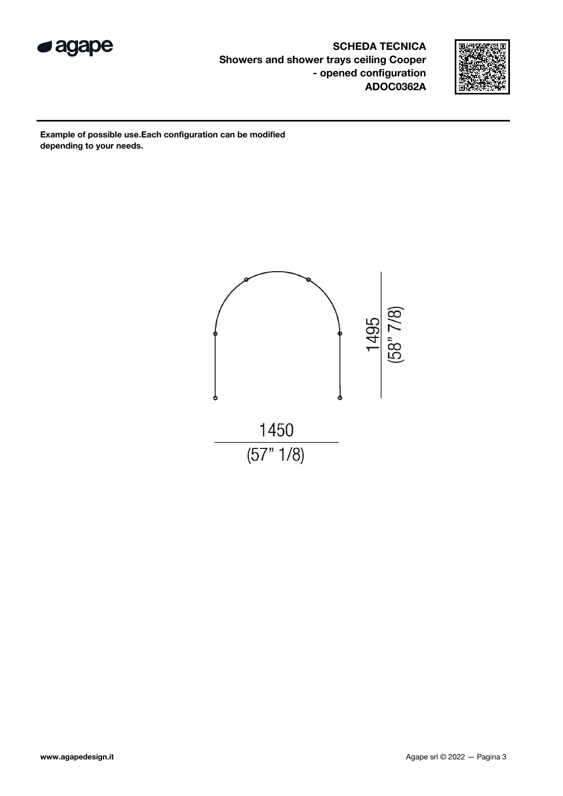

SCHEDA TECNICA Showers and shower trays ceiling Cooper - opened configuration ADOC0362A



Example of possible use.Each configuration can be modified depending to your needs.